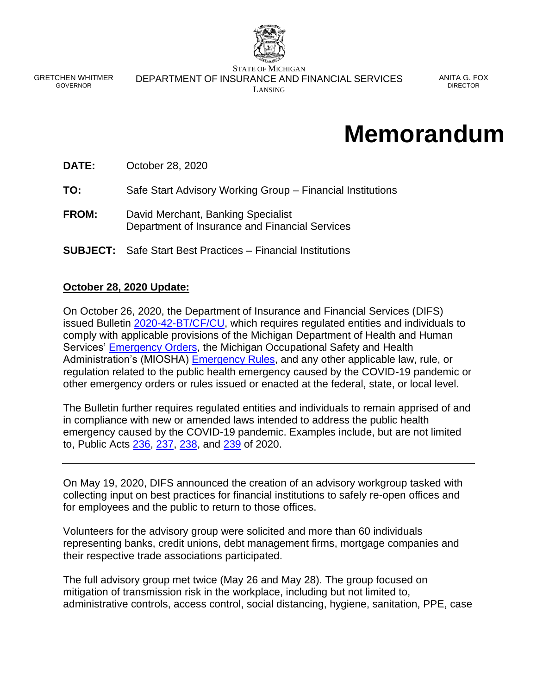

GRETCHEN WHITMER GOVERNOR

STATE OF MICHIGAN DEPARTMENT OF INSURANCE AND FINANCIAL SERVICES LANSING

ANITA G. FOX DIRECTOR

# **Memorandum**

**DATE:** October 28, 2020

**TO:** Safe Start Advisory Working Group – Financial Institutions

- **FROM:** David Merchant, Banking Specialist Department of Insurance and Financial Services
- **SUBJECT:** Safe Start Best Practices Financial Institutions

### **October 28, 2020 Update:**

On October 26, 2020, the Department of Insurance and Financial Services (DIFS) issued Bulletin [2020-42-BT/CF/CU,](https://www.michigan.gov/documents/difs/Bulletin_2020-42-BT-CF-CU_706104_7.pdf) which requires regulated entities and individuals to comply with applicable provisions of the Michigan Department of Health and Human Services' [Emergency Orders,](https://www.michigan.gov/coronavirus/0,9753,7-406-98178_98455-533660--,00.html) the Michigan Occupational Safety and Health Administration's (MIOSHA) **Emergency Rules**, and any other applicable law, rule, or regulation related to the public health emergency caused by the COVID-19 pandemic or other emergency orders or rules issued or enacted at the federal, state, or local level.

The Bulletin further requires regulated entities and individuals to remain apprised of and in compliance with new or amended laws intended to address the public health emergency caused by the COVID-19 pandemic. Examples include, but are not limited to, Public Acts [236,](http://www.legislature.mi.gov/(S(4zydeuaglw0zhlcjqsyl1tnk))/mileg.aspx?page=getObject&objectName=2020-HB-6030) [237,](http://www.legislature.mi.gov/(S(4zydeuaglw0zhlcjqsyl1tnk))/mileg.aspx?page=getobject&objectname=2020-HB-6031) [238,](http://www.legislature.mi.gov/(S(4zydeuaglw0zhlcjqsyl1tnk))/mileg.aspx?page=getobject&objectname=2020-HB-6032) and [239](http://www.legislature.mi.gov/(S(4zydeuaglw0zhlcjqsyl1tnk))/mileg.aspx?page=getObject&objectname=2020-HB-6101) of 2020.

On May 19, 2020, DIFS announced the creation of an advisory workgroup tasked with collecting input on best practices for financial institutions to safely re-open offices and for employees and the public to return to those offices.

Volunteers for the advisory group were solicited and more than 60 individuals representing banks, credit unions, debt management firms, mortgage companies and their respective trade associations participated.

The full advisory group met twice (May 26 and May 28). The group focused on mitigation of transmission risk in the workplace, including but not limited to, administrative controls, access control, social distancing, hygiene, sanitation, PPE, case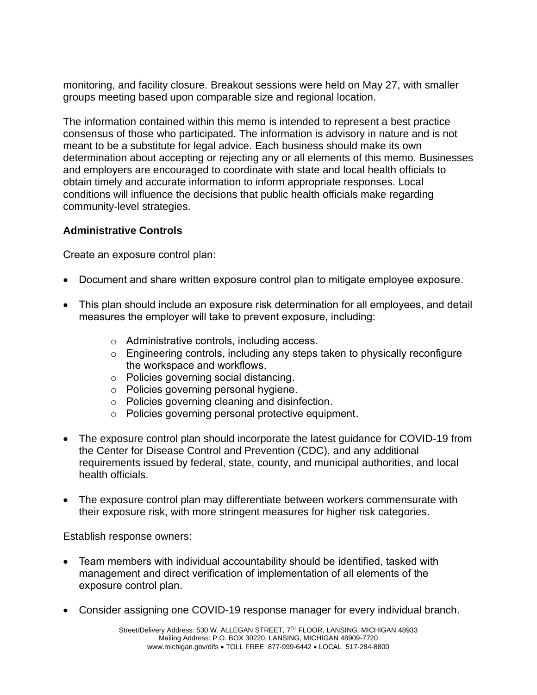monitoring, and facility closure. Breakout sessions were held on May 27, with smaller groups meeting based upon comparable size and regional location.

The information contained within this memo is intended to represent a best practice consensus of those who participated. The information is advisory in nature and is not meant to be a substitute for legal advice. Each business should make its own determination about accepting or rejecting any or all elements of this memo. Businesses and employers are encouraged to coordinate with state and local health officials to obtain timely and accurate information to inform appropriate responses. Local conditions will influence the decisions that public health officials make regarding community-level strategies.

### **Administrative Controls**

Create an exposure control plan:

- Document and share written exposure control plan to mitigate employee exposure.
- This plan should include an exposure risk determination for all employees, and detail measures the employer will take to prevent exposure, including:
	- o Administrative controls, including access.
	- o Engineering controls, including any steps taken to physically reconfigure the workspace and workflows.
	- o Policies governing social distancing.
	- o Policies governing personal hygiene.
	- o Policies governing cleaning and disinfection.
	- o Policies governing personal protective equipment.
- The exposure control plan should incorporate the latest guidance for COVID-19 from the Center for Disease Control and Prevention (CDC), and any additional requirements issued by federal, state, county, and municipal authorities, and local health officials.
- The exposure control plan may differentiate between workers commensurate with their exposure risk, with more stringent measures for higher risk categories.

Establish response owners:

- Team members with individual accountability should be identified, tasked with management and direct verification of implementation of all elements of the exposure control plan.
- Consider assigning one COVID-19 response manager for every individual branch.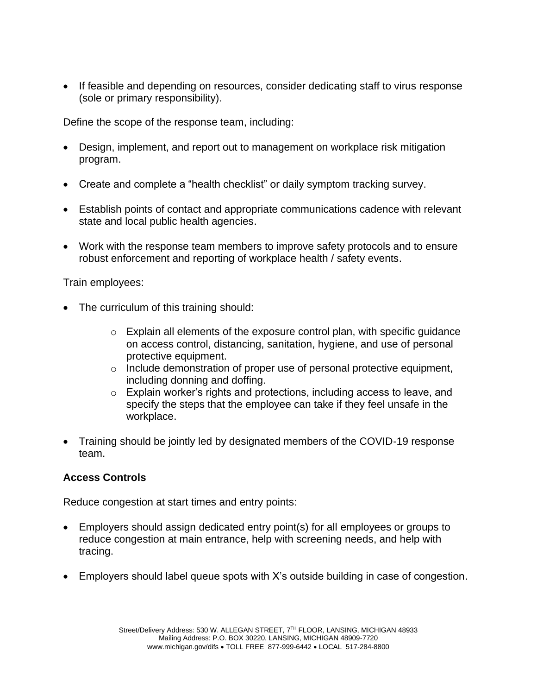• If feasible and depending on resources, consider dedicating staff to virus response (sole or primary responsibility).

Define the scope of the response team, including:

- Design, implement, and report out to management on workplace risk mitigation program.
- Create and complete a "health checklist" or daily symptom tracking survey.
- Establish points of contact and appropriate communications cadence with relevant state and local public health agencies.
- Work with the response team members to improve safety protocols and to ensure robust enforcement and reporting of workplace health / safety events.

Train employees:

- The curriculum of this training should:
	- o Explain all elements of the exposure control plan, with specific guidance on access control, distancing, sanitation, hygiene, and use of personal protective equipment.
	- $\circ$  Include demonstration of proper use of personal protective equipment, including donning and doffing.
	- o Explain worker's rights and protections, including access to leave, and specify the steps that the employee can take if they feel unsafe in the workplace.
- Training should be jointly led by designated members of the COVID-19 response team.

## **Access Controls**

Reduce congestion at start times and entry points:

- Employers should assign dedicated entry point(s) for all employees or groups to reduce congestion at main entrance, help with screening needs, and help with tracing.
- Employers should label queue spots with X's outside building in case of congestion.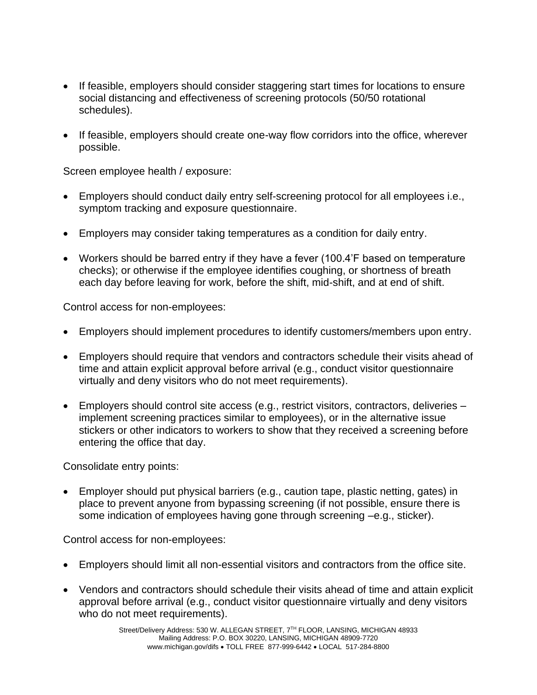- If feasible, employers should consider staggering start times for locations to ensure social distancing and effectiveness of screening protocols (50/50 rotational schedules).
- If feasible, employers should create one-way flow corridors into the office, wherever possible.

Screen employee health / exposure:

- Employers should conduct daily entry self-screening protocol for all employees i.e., symptom tracking and exposure questionnaire.
- Employers may consider taking temperatures as a condition for daily entry.
- Workers should be barred entry if they have a fever (100.4'F based on temperature checks); or otherwise if the employee identifies coughing, or shortness of breath each day before leaving for work, before the shift, mid-shift, and at end of shift.

Control access for non-employees:

- Employers should implement procedures to identify customers/members upon entry.
- Employers should require that vendors and contractors schedule their visits ahead of time and attain explicit approval before arrival (e.g., conduct visitor questionnaire virtually and deny visitors who do not meet requirements).
- Employers should control site access (e.g., restrict visitors, contractors, deliveries implement screening practices similar to employees), or in the alternative issue stickers or other indicators to workers to show that they received a screening before entering the office that day.

Consolidate entry points:

• Employer should put physical barriers (e.g., caution tape, plastic netting, gates) in place to prevent anyone from bypassing screening (if not possible, ensure there is some indication of employees having gone through screening –e.g., sticker).

Control access for non-employees:

- Employers should limit all non-essential visitors and contractors from the office site.
- Vendors and contractors should schedule their visits ahead of time and attain explicit approval before arrival (e.g., conduct visitor questionnaire virtually and deny visitors who do not meet requirements).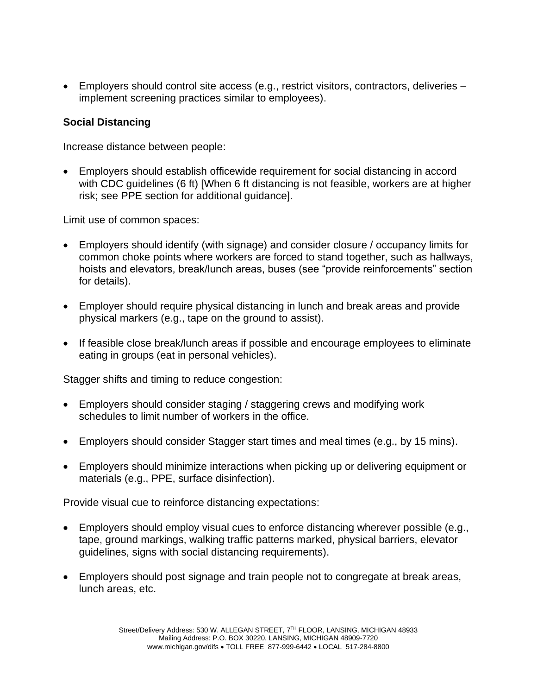• Employers should control site access (e.g., restrict visitors, contractors, deliveries – implement screening practices similar to employees).

### **Social Distancing**

Increase distance between people:

• Employers should establish officewide requirement for social distancing in accord with CDC guidelines (6 ft) [When 6 ft distancing is not feasible, workers are at higher risk; see PPE section for additional guidance].

Limit use of common spaces:

- Employers should identify (with signage) and consider closure / occupancy limits for common choke points where workers are forced to stand together, such as hallways, hoists and elevators, break/lunch areas, buses (see "provide reinforcements" section for details).
- Employer should require physical distancing in lunch and break areas and provide physical markers (e.g., tape on the ground to assist).
- If feasible close break/lunch areas if possible and encourage employees to eliminate eating in groups (eat in personal vehicles).

Stagger shifts and timing to reduce congestion:

- Employers should consider staging / staggering crews and modifying work schedules to limit number of workers in the office.
- Employers should consider Stagger start times and meal times (e.g., by 15 mins).
- Employers should minimize interactions when picking up or delivering equipment or materials (e.g., PPE, surface disinfection).

Provide visual cue to reinforce distancing expectations:

- Employers should employ visual cues to enforce distancing wherever possible (e.g., tape, ground markings, walking traffic patterns marked, physical barriers, elevator guidelines, signs with social distancing requirements).
- Employers should post signage and train people not to congregate at break areas, lunch areas, etc.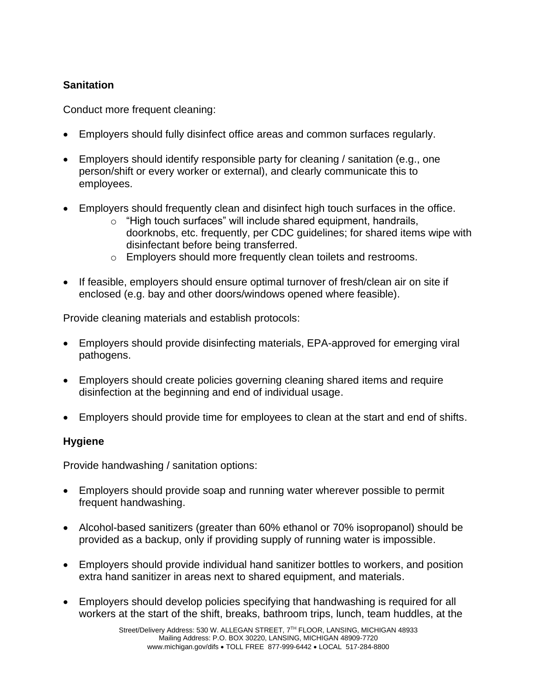## **Sanitation**

Conduct more frequent cleaning:

- Employers should fully disinfect office areas and common surfaces regularly.
- Employers should identify responsible party for cleaning / sanitation (e.g., one person/shift or every worker or external), and clearly communicate this to employees.
- Employers should frequently clean and disinfect high touch surfaces in the office.
	- o "High touch surfaces" will include shared equipment, handrails, doorknobs, etc. frequently, per CDC guidelines; for shared items wipe with disinfectant before being transferred.
	- o Employers should more frequently clean toilets and restrooms.
- If feasible, employers should ensure optimal turnover of fresh/clean air on site if enclosed (e.g. bay and other doors/windows opened where feasible).

Provide cleaning materials and establish protocols:

- Employers should provide disinfecting materials, EPA-approved for emerging viral pathogens.
- Employers should create policies governing cleaning shared items and require disinfection at the beginning and end of individual usage.
- Employers should provide time for employees to clean at the start and end of shifts.

## **Hygiene**

Provide handwashing / sanitation options:

- Employers should provide soap and running water wherever possible to permit frequent handwashing.
- Alcohol-based sanitizers (greater than 60% ethanol or 70% isopropanol) should be provided as a backup, only if providing supply of running water is impossible.
- Employers should provide individual hand sanitizer bottles to workers, and position extra hand sanitizer in areas next to shared equipment, and materials.
- Employers should develop policies specifying that handwashing is required for all workers at the start of the shift, breaks, bathroom trips, lunch, team huddles, at the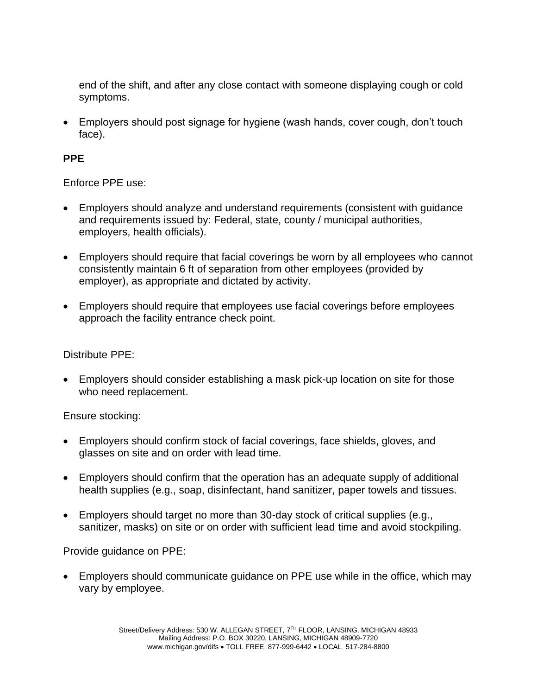end of the shift, and after any close contact with someone displaying cough or cold symptoms.

• Employers should post signage for hygiene (wash hands, cover cough, don't touch face).

## **PPE**

Enforce PPE use:

- Employers should analyze and understand requirements (consistent with guidance and requirements issued by: Federal, state, county / municipal authorities, employers, health officials).
- Employers should require that facial coverings be worn by all employees who cannot consistently maintain 6 ft of separation from other employees (provided by employer), as appropriate and dictated by activity.
- Employers should require that employees use facial coverings before employees approach the facility entrance check point.

Distribute PPE:

• Employers should consider establishing a mask pick-up location on site for those who need replacement.

Ensure stocking:

- Employers should confirm stock of facial coverings, face shields, gloves, and glasses on site and on order with lead time.
- Employers should confirm that the operation has an adequate supply of additional health supplies (e.g., soap, disinfectant, hand sanitizer, paper towels and tissues.
- Employers should target no more than 30-day stock of critical supplies (e.g., sanitizer, masks) on site or on order with sufficient lead time and avoid stockpiling.

Provide guidance on PPE:

• Employers should communicate guidance on PPE use while in the office, which may vary by employee.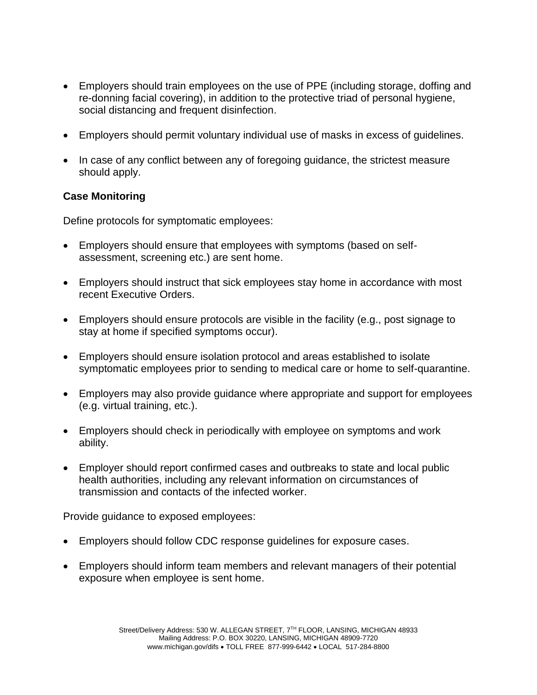- Employers should train employees on the use of PPE (including storage, doffing and re-donning facial covering), in addition to the protective triad of personal hygiene, social distancing and frequent disinfection.
- Employers should permit voluntary individual use of masks in excess of guidelines.
- In case of any conflict between any of foregoing guidance, the strictest measure should apply.

### **Case Monitoring**

Define protocols for symptomatic employees:

- Employers should ensure that employees with symptoms (based on selfassessment, screening etc.) are sent home.
- Employers should instruct that sick employees stay home in accordance with most recent Executive Orders.
- Employers should ensure protocols are visible in the facility (e.g., post signage to stay at home if specified symptoms occur).
- Employers should ensure isolation protocol and areas established to isolate symptomatic employees prior to sending to medical care or home to self-quarantine.
- Employers may also provide guidance where appropriate and support for employees (e.g. virtual training, etc.).
- Employers should check in periodically with employee on symptoms and work ability.
- Employer should report confirmed cases and outbreaks to state and local public health authorities, including any relevant information on circumstances of transmission and contacts of the infected worker.

Provide guidance to exposed employees:

- Employers should follow CDC response guidelines for exposure cases.
- Employers should inform team members and relevant managers of their potential exposure when employee is sent home.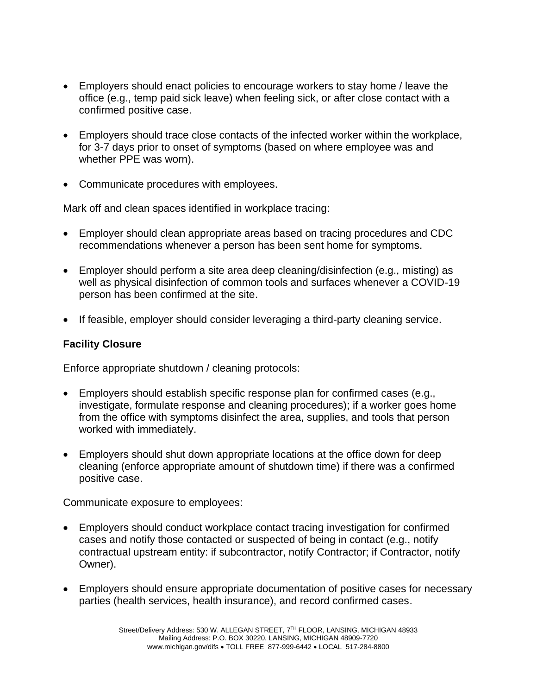- Employers should enact policies to encourage workers to stay home / leave the office (e.g., temp paid sick leave) when feeling sick, or after close contact with a confirmed positive case.
- Employers should trace close contacts of the infected worker within the workplace, for 3-7 days prior to onset of symptoms (based on where employee was and whether PPE was worn).
- Communicate procedures with employees.

Mark off and clean spaces identified in workplace tracing:

- Employer should clean appropriate areas based on tracing procedures and CDC recommendations whenever a person has been sent home for symptoms.
- Employer should perform a site area deep cleaning/disinfection (e.g., misting) as well as physical disinfection of common tools and surfaces whenever a COVID-19 person has been confirmed at the site.
- If feasible, employer should consider leveraging a third-party cleaning service.

## **Facility Closure**

Enforce appropriate shutdown / cleaning protocols:

- Employers should establish specific response plan for confirmed cases (e.g., investigate, formulate response and cleaning procedures); if a worker goes home from the office with symptoms disinfect the area, supplies, and tools that person worked with immediately.
- Employers should shut down appropriate locations at the office down for deep cleaning (enforce appropriate amount of shutdown time) if there was a confirmed positive case.

Communicate exposure to employees:

- Employers should conduct workplace contact tracing investigation for confirmed cases and notify those contacted or suspected of being in contact (e.g., notify contractual upstream entity: if subcontractor, notify Contractor; if Contractor, notify Owner).
- Employers should ensure appropriate documentation of positive cases for necessary parties (health services, health insurance), and record confirmed cases.